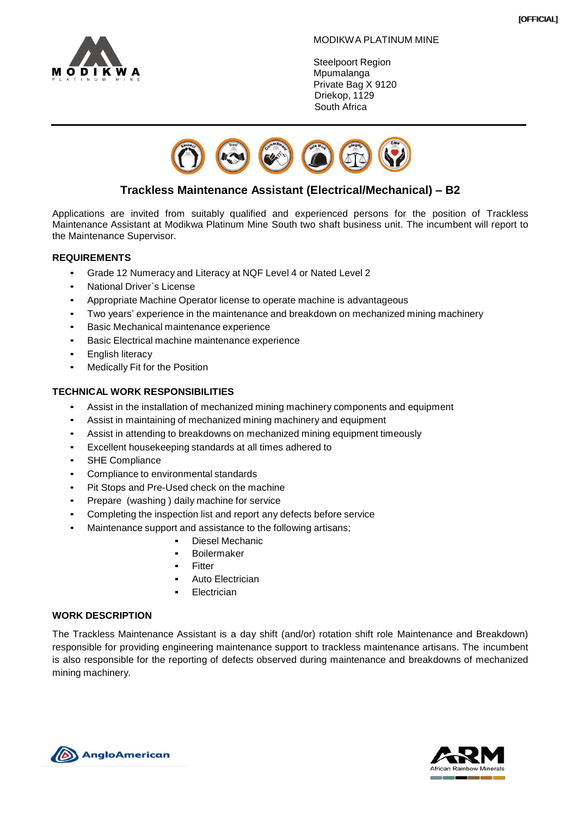

## MODIKWA PLATINUM MINE

Steelpoort Region **Mpumalanga** Private Bag X 9120 Driekop, 1129 South Africa



# **Trackless Maintenance Assistant (Electrical/Mechanical) – B2**

Applications are invited from suitably qualified and experienced persons for the position of Trackless Maintenance Assistant at Modikwa Platinum Mine South two shaft business unit. The incumbent will report to the Maintenance Supervisor.

# **REQUIREMENTS**

- Grade 12 Numeracy and Literacy at NQF Level 4 or Nated Level 2
- National Driver`s License
- Appropriate Machine Operator license to operate machine is advantageous
- Two years' experience in the maintenance and breakdown on mechanized mining machinery
- Basic Mechanical maintenance experience
- Basic Electrical machine maintenance experience
- **English literacy**
- Medically Fit for the Position

## **TECHNICAL WORK RESPONSIBILITIES**

- Assist in the installation of mechanized mining machinery components and equipment
- Assist in maintaining of mechanized mining machinery and equipment
- Assist in attending to breakdowns on mechanized mining equipment timeously
- Excellent housekeeping standards at all times adhered to
- SHE Compliance
- Compliance to environmental standards
- Pit Stops and Pre-Used check on the machine
- Prepare (washing ) daily machine for service
- Completing the inspection list and report any defects before service
	- Maintenance support and assistance to the following artisans;
		- Diesel Mechanic
			- **Boilermaker**
			- **Fitter**
		- Auto Electrician
		- **Electrician**

## **WORK DESCRIPTION**

The Trackless Maintenance Assistant is a day shift (and/or) rotation shift role Maintenance and Breakdown) responsible for providing engineering maintenance support to trackless maintenance artisans. The incumbent is also responsible for the reporting of defects observed during maintenance and breakdowns of mechanized mining machinery.